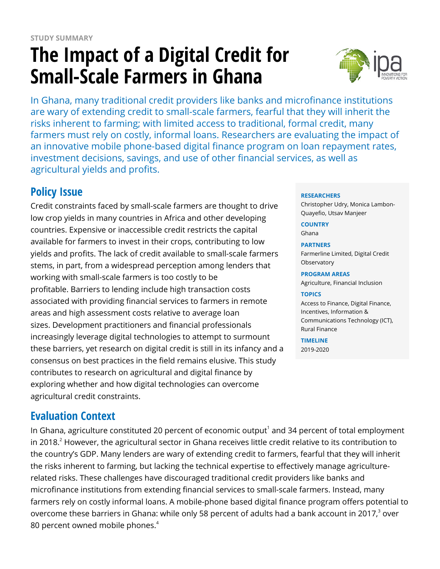# **The Impact of a Digital Credit for Small-Scale Farmers in Ghana**



In Ghana, many traditional credit providers like banks and microfinance institutions are wary of extending credit to small-scale farmers, fearful that they will inherit the risks inherent to farming; with limited access to traditional, formal credit, many farmers must rely on costly, informal loans. Researchers are evaluating the impact of an innovative mobile phone-based digital finance program on loan repayment rates, investment decisions, savings, and use of other financial services, as well as agricultural yields and profits.

# **Policy Issue**

Credit constraints faced by small-scale farmers are thought to drive low crop yields in many countries in Africa and other developing countries. Expensive or inaccessible credit restricts the capital available for farmers to invest in their crops, contributing to low yields and profits. The lack of credit available to small-scale farmers stems, in part, from a widespread perception among lenders that working with small-scale farmers is too costly to be profitable. Barriers to lending include high transaction costs associated with providing financial services to farmers in remote areas and high assessment costs relative to average loan sizes. Development practitioners and financial professionals increasingly leverage digital technologies to attempt to surmount these barriers, yet research on digital credit is still in its infancy and a consensus on best practices in the field remains elusive. This study contributes to research on agricultural and digital finance by exploring whether and how digital technologies can overcome agricultural credit constraints.

# **Evaluation Context**

In Ghana, agriculture constituted 20 percent of economic output $^{\scriptscriptstyle 1}$  and 34 percent of total employment in 2018. $^2$  However, the agricultural sector in Ghana receives little credit relative to its contribution to the country's GDP. Many lenders are wary of extending credit to farmers, fearful that they will inherit the risks inherent to farming, but lacking the technical expertise to effectively manage agriculturerelated risks. These challenges have discouraged traditional credit providers like banks and microfinance institutions from extending financial services to small-scale farmers. Instead, many farmers rely on costly informal loans. A mobile-phone based digital finance program offers potential to overcome these barriers in Ghana: while only 58 percent of adults had a bank account in 2017, $^3$  over 80 percent owned mobile phones.<sup>4</sup>

#### **RESEARCHERS**

Christopher Udry, Monica Lambon-Quayefio, Utsav Manjeer

**COUNTRY** Ghana

#### **PARTNERS**

Farmerline Limited, Digital Credit **Observatory** 

#### **PROGRAM AREAS**

Agriculture, Financial Inclusion

#### **TOPICS**

Access to Finance, Digital Finance, Incentives, Information & Communications Technology (ICT), Rural Finance

**TIMELINE** 2019-2020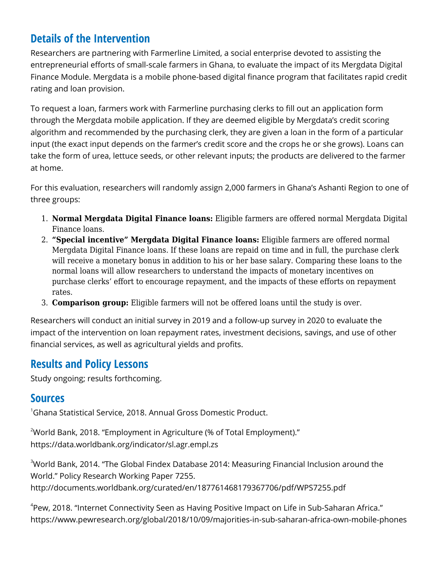# **Details of the Intervention**

Researchers are partnering with Farmerline Limited, a social enterprise devoted to assisting the entrepreneurial efforts of small-scale farmers in Ghana, to evaluate the impact of its Mergdata Digital Finance Module. Mergdata is a mobile phone-based digital finance program that facilitates rapid credit rating and loan provision.

To request a loan, farmers work with Farmerline purchasing clerks to fill out an application form through the Mergdata mobile application. If they are deemed eligible by Mergdata's credit scoring algorithm and recommended by the purchasing clerk, they are given a loan in the form of a particular input (the exact input depends on the farmer's credit score and the crops he or she grows). Loans can take the form of urea, lettuce seeds, or other relevant inputs; the products are delivered to the farmer at home.

For this evaluation, researchers will randomly assign 2,000 farmers in Ghana's Ashanti Region to one of three groups:

- 1. **Normal Mergdata Digital Finance loans:** Eligible farmers are offered normal Mergdata Digital Finance loans.
- 2. **"Special incentive" Mergdata Digital Finance loans:** Eligible farmers are offered normal Mergdata Digital Finance loans. If these loans are repaid on time and in full, the purchase clerk will receive a monetary bonus in addition to his or her base salary. Comparing these loans to the normal loans will allow researchers to understand the impacts of monetary incentives on purchase clerks' effort to encourage repayment, and the impacts of these efforts on repayment rates.
- 3. **Comparison group:** Eligible farmers will not be offered loans until the study is over.

Researchers will conduct an initial survey in 2019 and a follow-up survey in 2020 to evaluate the impact of the intervention on loan repayment rates, investment decisions, savings, and use of other financial services, as well as agricultural yields and profits.

## **Results and Policy Lessons**

Study ongoing; results forthcoming.

### **Sources**

 $^1$ Ghana Statistical Service, 2018. Annual Gross Domestic Product.

<sup>2</sup>World Bank, 2018. "Employment in Agriculture (% of Total Employment)." https://data.worldbank.org/indicator/sl.agr.empl.zs

<sup>3</sup>World Bank, 2014. "The Global Findex Database 2014: Measuring Financial Inclusion around the World." Policy Research Working Paper 7255. http://documents.worldbank.org/curated/en/187761468179367706/pdf/WPS7255.pdf

4 Pew, 2018. "Internet Connectivity Seen as Having Positive Impact on Life in Sub-Saharan Africa." https://www.pewresearch.org/global/2018/10/09/majorities-in-sub-saharan-africa-own-mobile-phones